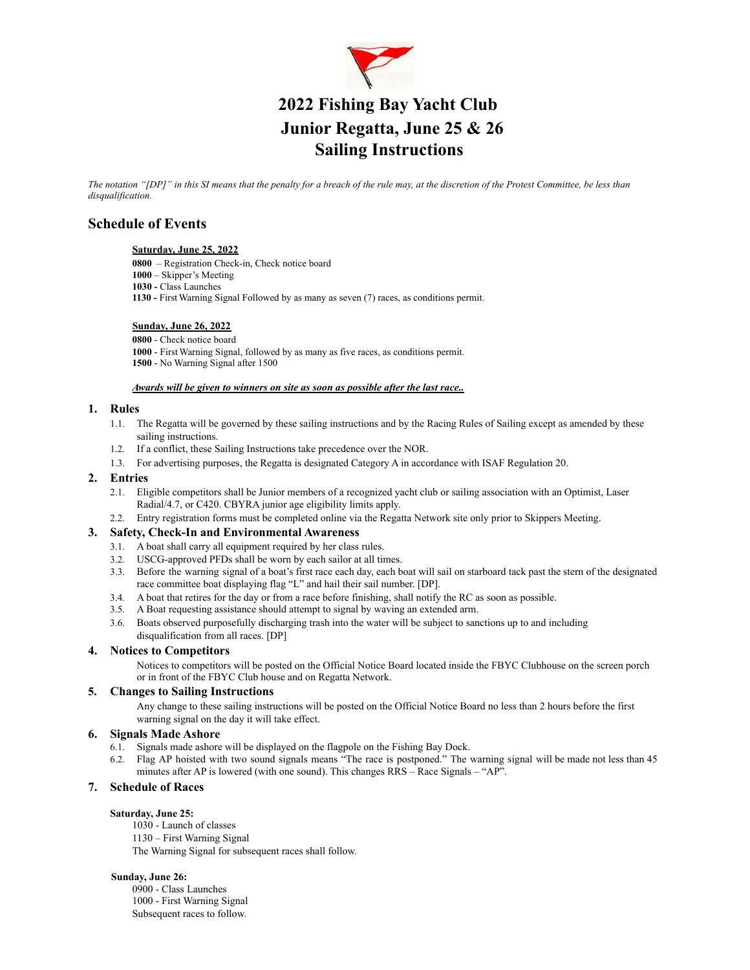

# **2022 Fishing Bay Yacht Club Junior Regatta, June 25 & 26 Sailing Instructions**

The notation "[DP]" in this SI means that the penalty for a breach of the rule may, at the discretion of the Protest Committee, be less than *disqualification.*

# **Schedule of Events**

# **Saturday, June 25, 2022**

**0800** – Registration Check-in, Check notice board

- **1000** Skipper's Meeting
- **1030 -** Class Launches
- **1130 -** FirstWarning Signal Followed by as many as seven (7) races, as conditions permit.

#### **Sunday, June 26, 2022**

- **0800** Check notice board **1000** - FirstWarning Signal, followed by as many as five races, as conditions permit.
- **1500** No Warning Signal after 1500

#### *Awards will be given to winners on site as soon as possible after the last race..*

#### **1. Rules**

- 1.1. The Regatta will be governed by these sailing instructions and by the Racing Rules of Sailing except as amended by these sailing instructions.
- 1.2. If a conflict, these Sailing Instructions take precedence over the NOR.
- 1.3. For advertising purposes, the Regatta is designated Category A in accordance with ISAF Regulation 20.

#### **2. Entries**

- 2.1. Eligible competitors shall be Junior members of a recognized yacht club or sailing association with an Optimist, Laser Radial/4.7, or C420. CBYRA junior age eligibility limits apply.
- 2.2. Entry registration forms must be completed online via the Regatta Network site only prior to Skippers Meeting.

# **3. Safety, Check-In and Environmental Awareness**

- 3.1. A boat shall carry all equipment required by her class rules.
- 3.2. USCG-approved PFDs shall be worn by each sailor at all times.
- 3.3. Before the warning signal of a boat's first race each day, each boat will sail on starboard tack past the stern of the designated race committee boat displaying flag "L" and hail their sail number. [DP].
- 3.4. A boat that retires for the day or from a race before finishing, shall notify the RC as soon as possible.
- 3.5. A Boat requesting assistance should attempt to signal by waving an extended arm.
- 3.6. Boats observed purposefully discharging trash into the water will be subject to sanctions up to and including disqualification from all races. [DP]

# **4. Notices to Competitors**

Notices to competitors will be posted on the Official Notice Board located inside the FBYC Clubhouse on the screen porch or in front of the FBYC Club house and on Regatta Network.

# **5. Changes to Sailing Instructions**

Any change to these sailing instructions will be posted on the Official Notice Board no less than 2 hours before the first warning signal on the day it will take effect.

# **6. Signals Made Ashore**

- 6.1. Signals made ashore will be displayed on the flagpole on the Fishing Bay Dock.
- 6.2. Flag AP hoisted with two sound signals means "The race is postponed." The warning signal will be made not less than 45 minutes after AP is lowered (with one sound). This changes RRS – Race Signals – "AP".

# **7. Schedule of Races**

#### **Saturday, June 25:**

1030 - Launch of classes 1130 – First Warning Signal The Warning Signal for subsequent races shall follow.

#### **Sunday, June 26:**

0900 - Class Launches 1000 - First Warning Signal Subsequent races to follow.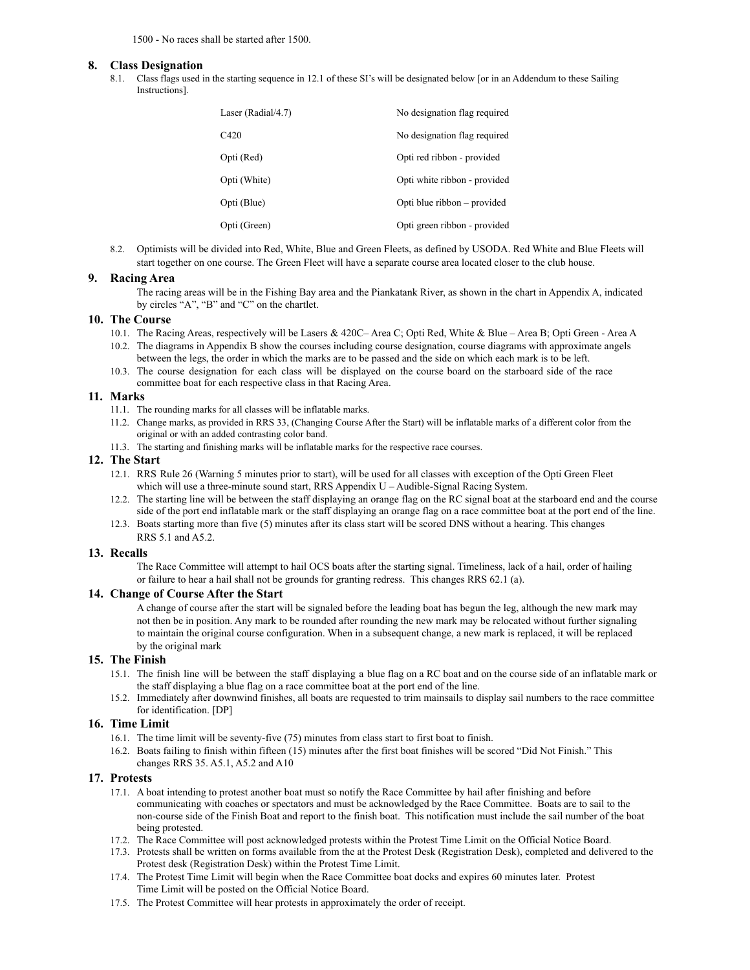1500 - No races shall be started after 1500.

#### **8. Class Designation**

8.1. Class flags used in the starting sequence in 12.1 of these SI's will be designated below [or in an Addendum to these Sailing Instructions].

| Laser (Radial/4.7) | No designation flag required |
|--------------------|------------------------------|
| C <sub>420</sub>   | No designation flag required |
| Opti (Red)         | Opti red ribbon - provided   |
| Opti (White)       | Opti white ribbon - provided |
| Opti (Blue)        | Opti blue ribbon – provided  |
| Opti (Green)       | Opti green ribbon - provided |

8.2. Optimists will be divided into Red, White, Blue and Green Fleets, as defined by USODA. Red White and Blue Fleets will start together on one course. The Green Fleet will have a separate course area located closer to the club house.

#### **9. Racing Area**

The racing areas will be in the Fishing Bay area and the Piankatank River, as shown in the chart in Appendix A, indicated by circles "A", "B" and "C" on the chartlet.

#### **10. The Course**

- 10.1. The Racing Areas, respectively will be Lasers & 420C– Area C; Opti Red, White & Blue Area B; Opti Green Area A 10.2. The diagrams in Appendix B show the courses including course designation, course diagrams with approximate angels
- between the legs, the order in which the marks are to be passed and the side on which each mark is to be left. 10.3. The course designation for each class will be displayed on the course board on the starboard side of the race
- committee boat for each respective class in that Racing Area.

# **11. Marks**

- 11.1. The rounding marks for all classes will be inflatable marks.
- 11.2. Change marks, as provided in RRS 33, (Changing Course After the Start) will be inflatable marks of a different color from the original or with an added contrasting color band.
- 11.3. The starting and finishing marks will be inflatable marks for the respective race courses.

#### **12. The Start**

- 12.1. RRS Rule 26 (Warning 5 minutes prior to start), will be used for all classes with exception of the Opti Green Fleet which will use a three-minute sound start, RRS Appendix U – Audible-Signal Racing System.
- 12.2. The starting line will be between the staff displaying an orange flag on the RC signal boat at the starboard end and the course side of the port end inflatable mark or the staff displaying an orange flag on a race committee boat at the port end of the line.
- 12.3. Boats starting more than five (5) minutes after its class start will be scored DNS without a hearing. This changes RRS 5.1 and A5.2.

#### **13. Recalls**

The Race Committee will attempt to hail OCS boats after the starting signal. Timeliness, lack of a hail, order of hailing or failure to hear a hail shall not be grounds for granting redress. This changes RRS 62.1 (a).

#### **14. Change of Course After the Start**

A change of course after the start will be signaled before the leading boat has begun the leg, although the new mark may not then be in position. Any mark to be rounded after rounding the new mark may be relocated without further signaling to maintain the original course configuration. When in a subsequent change, a new mark is replaced, it will be replaced by the original mark

#### **15. The Finish**

- 15.1. The finish line will be between the staff displaying a blue flag on a RC boat and on the course side of an inflatable mark or the staff displaying a blue flag on a race committee boat at the port end of the line.
- 15.2. Immediately after downwind finishes, all boats are requested to trim mainsails to display sail numbers to the race committee for identification. [DP]

#### **16. Time Limit**

- 16.1. The time limit will be seventy-five (75) minutes from class start to first boat to finish.
- 16.2. Boats failing to finish within fifteen (15) minutes after the first boat finishes will be scored "Did Not Finish." This changes RRS 35. A5.1, A5.2 and A10

#### **17. Protests**

- 17.1. A boat intending to protest another boat must so notify the Race Committee by hail after finishing and before communicating with coaches or spectators and must be acknowledged by the Race Committee. Boats are to sail to the non-course side of the Finish Boat and report to the finish boat. This notification must include the sail number of the boat being protested.
- 17.2. The Race Committee will post acknowledged protests within the Protest Time Limit on the Official Notice Board.
- 17.3. Protests shall be written on forms available from the at the Protest Desk (Registration Desk), completed and delivered to the Protest desk (Registration Desk) within the Protest Time Limit.
- 17.4. The Protest Time Limit will begin when the Race Committee boat docks and expires 60 minutes later. Protest Time Limit will be posted on the Official Notice Board.
- 17.5. The Protest Committee will hear protests in approximately the order of receipt.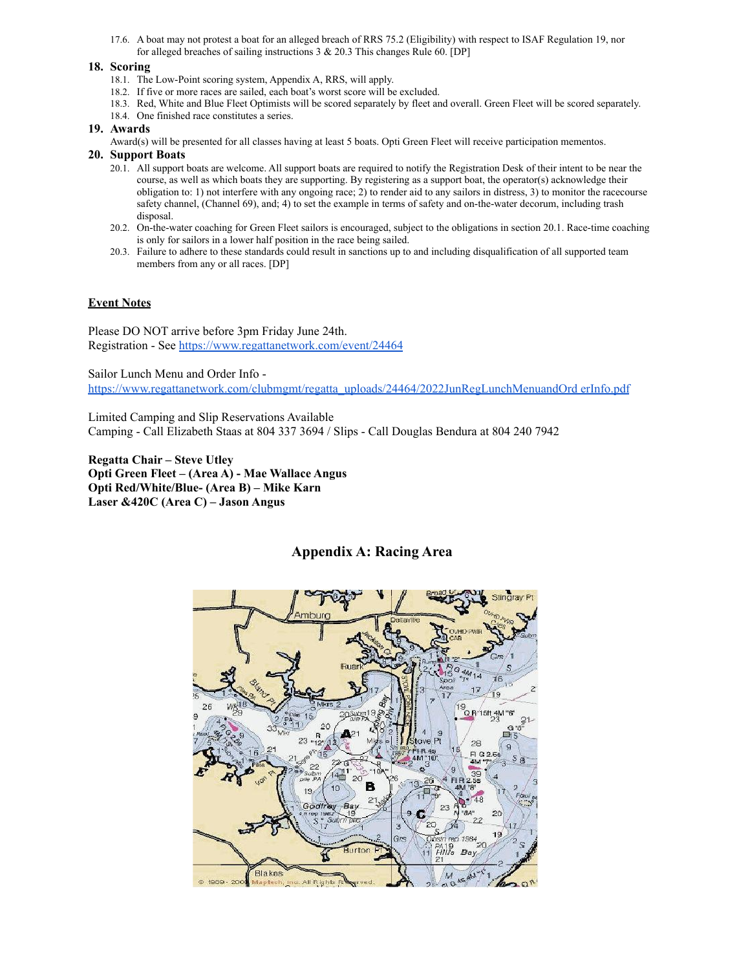17.6. A boat may not protest a boat for an alleged breach of RRS 75.2 (Eligibility) with respect to ISAF Regulation 19, nor for alleged breaches of sailing instructions 3 & 20.3 This changes Rule 60. [DP]

# **18. Scoring**

- 18.1. The Low-Point scoring system, Appendix A, RRS, will apply.
- 18.2. If five or more races are sailed, each boat's worst score will be excluded.
- 18.3. Red, White and Blue Fleet Optimists will be scored separately by fleet and overall. Green Fleet will be scored separately.
- 18.4. One finished race constitutes a series.

# **19. Awards**

Award(s) will be presented for all classes having at least 5 boats. Opti Green Fleet will receive participation mementos.

# **20. Support Boats**

- 20.1. All support boats are welcome. All support boats are required to notify the Registration Desk of their intent to be near the course, as well as which boats they are supporting. By registering as a support boat, the operator(s) acknowledge their obligation to: 1) not interfere with any ongoing race; 2) to render aid to any sailors in distress, 3) to monitor the racecourse safety channel, (Channel 69), and; 4) to set the example in terms of safety and on-the-water decorum, including trash disposal.
- 20.2. On-the-water coaching for Green Fleet sailors is encouraged, subject to the obligations in section 20.1. Race-time coaching is only for sailors in a lower half position in the race being sailed.
- 20.3. Failure to adhere to these standards could result in sanctions up to and including disqualification of all supported team members from any or all races. [DP]

# **Event Notes**

Please DO NOT arrive before 3pm Friday June 24th. Registration - See <https://www.regattanetwork.com/event/24464>

Sailor Lunch Menu and Order Info -

[https://www.regattanetwork.com/clubmgmt/regatta\\_uploads/24464/2022JunRegLunchMenuandOrd](https://www.regattanetwork.com/clubmgmt/regatta_uploads/24464/2022JunRegLunchMenuandOrderInfo.pdf) erInfo.pdf

Limited Camping and Slip Reservations Available Camping - Call Elizabeth Staas at 804 337 3694 / Slips - Call Douglas Bendura at 804 240 7942

**Regatta Chair – Steve Utley Opti Green Fleet – (Area A) - Mae Wallace Angus Opti Red/White/Blue- (Area B) – Mike Karn Laser &420C (Area C) – Jason Angus**



# **Appendix A: Racing Area**